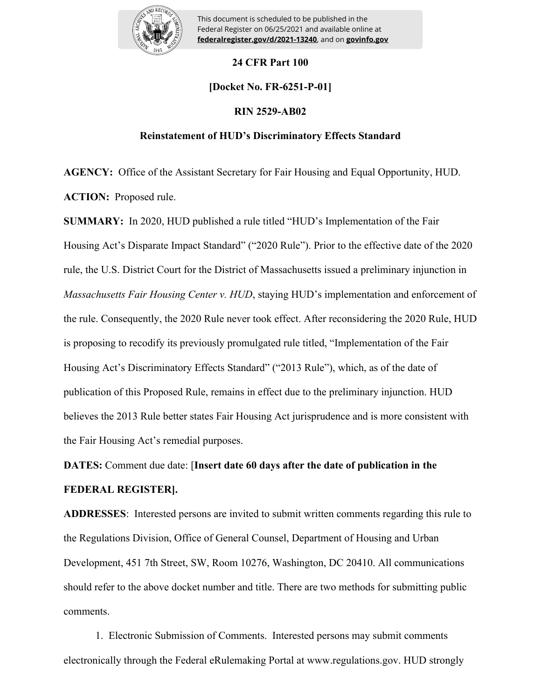

**EXAMPLE AND SECURITY OF HOUSING AND URBAN DEVICES** This document is scheduled to be published in the Federal Register on 06/25/2021 and available online at

## **24 CFR Part 100**

# **[Docket No. FR-6251-P-01]**

### **RIN 2529-AB02**

### **Reinstatement of HUD's Discriminatory Effects Standard**

**AGENCY:** Office of the Assistant Secretary for Fair Housing and Equal Opportunity, HUD. **ACTION:** Proposed rule.

**SUMMARY:** In 2020, HUD published a rule titled "HUD's Implementation of the Fair Housing Act's Disparate Impact Standard" ("2020 Rule"). Prior to the effective date of the 2020 rule, the U.S. District Court for the District of Massachusetts issued a preliminary injunction in *Massachusetts Fair Housing Center v. HUD*, staying HUD's implementation and enforcement of the rule. Consequently, the 2020 Rule never took effect. After reconsidering the 2020 Rule, HUD is proposing to recodify its previously promulgated rule titled, "Implementation of the Fair Housing Act's Discriminatory Effects Standard" ("2013 Rule"), which, as of the date of publication of this Proposed Rule, remains in effect due to the preliminary injunction. HUD believes the 2013 Rule better states Fair Housing Act jurisprudence and is more consistent with the Fair Housing Act's remedial purposes.

**DATES:** Comment due date: [**Insert date 60 days after the date of publication in the FEDERAL REGISTER].**

**ADDRESSES**: Interested persons are invited to submit written comments regarding this rule to the Regulations Division, Office of General Counsel, Department of Housing and Urban Development, 451 7th Street, SW, Room 10276, Washington, DC 20410. All communications should refer to the above docket number and title. There are two methods for submitting public comments.

1. Electronic Submission of Comments. Interested persons may submit comments electronically through the Federal eRulemaking Portal at www.regulations.gov. HUD strongly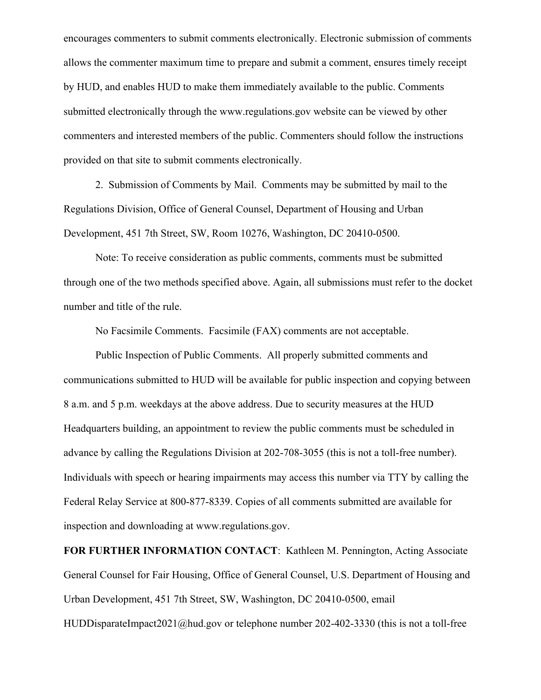encourages commenters to submit comments electronically. Electronic submission of comments allows the commenter maximum time to prepare and submit a comment, ensures timely receipt by HUD, and enables HUD to make them immediately available to the public. Comments submitted electronically through the www.regulations.gov website can be viewed by other commenters and interested members of the public. Commenters should follow the instructions provided on that site to submit comments electronically.

2. Submission of Comments by Mail. Comments may be submitted by mail to the Regulations Division, Office of General Counsel, Department of Housing and Urban Development, 451 7th Street, SW, Room 10276, Washington, DC 20410-0500.

Note: To receive consideration as public comments, comments must be submitted through one of the two methods specified above. Again, all submissions must refer to the docket number and title of the rule.

No Facsimile Comments. Facsimile (FAX) comments are not acceptable.

Public Inspection of Public Comments. All properly submitted comments and communications submitted to HUD will be available for public inspection and copying between 8 a.m. and 5 p.m. weekdays at the above address. Due to security measures at the HUD Headquarters building, an appointment to review the public comments must be scheduled in advance by calling the Regulations Division at 202-708-3055 (this is not a toll-free number). Individuals with speech or hearing impairments may access this number via TTY by calling the Federal Relay Service at 800-877-8339. Copies of all comments submitted are available for inspection and downloading at www.regulations.gov.

**FOR FURTHER INFORMATION CONTACT**: Kathleen M. Pennington, Acting Associate General Counsel for Fair Housing, Office of General Counsel, U.S. Department of Housing and Urban Development, 451 7th Street, SW, Washington, DC 20410-0500, email

HUDDisparateImpact2021@hud.gov or telephone number 202-402-3330 (this is not a toll-free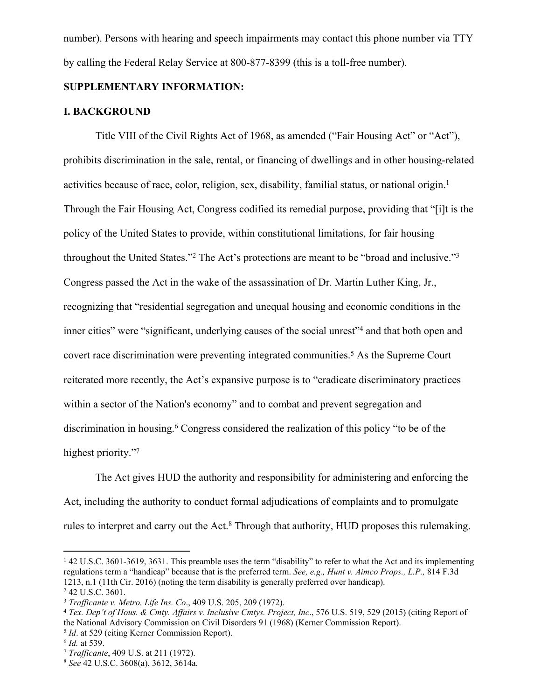number). Persons with hearing and speech impairments may contact this phone number via TTY by calling the Federal Relay Service at 800-877-8399 (this is a toll-free number).

# **SUPPLEMENTARY INFORMATION:**

### **I. BACKGROUND**

Title VIII of the Civil Rights Act of 1968, as amended ("Fair Housing Act" or "Act"), prohibits discrimination in the sale, rental, or financing of dwellings and in other housing-related activities because of race, color, religion, sex, disability, familial status, or national origin.<sup>1</sup> Through the Fair Housing Act, Congress codified its remedial purpose, providing that "[i]t is the policy of the United States to provide, within constitutional limitations, for fair housing throughout the United States."<sup>2</sup> The Act's protections are meant to be "broad and inclusive."<sup>3</sup> Congress passed the Act in the wake of the assassination of Dr. Martin Luther King, Jr., recognizing that "residential segregation and unequal housing and economic conditions in the inner cities" were "significant, underlying causes of the social unrest"<sup>4</sup> and that both open and covert race discrimination were preventing integrated communities.<sup>5</sup> As the Supreme Court reiterated more recently, the Act's expansive purpose is to "eradicate discriminatory practices within a sector of the Nation's economy" and to combat and prevent segregation and discrimination in housing.<sup>6</sup> Congress considered the realization of this policy "to be of the highest priority."7

The Act gives HUD the authority and responsibility for administering and enforcing the Act, including the authority to conduct formal adjudications of complaints and to promulgate rules to interpret and carry out the Act.<sup>8</sup> Through that authority, HUD proposes this rulemaking.

<sup>&</sup>lt;sup>1</sup> 42 U.S.C. 3601-3619, 3631. This preamble uses the term "disability" to refer to what the Act and its implementing regulations term a "handicap" because that is the preferred term. *See, e.g., Hunt v. Aimco Props., L.P.,* 814 F.3d 1213, n.1 (11th Cir. 2016) (noting the term disability is generally preferred over handicap).

<sup>2</sup> 42 U.S.C. 3601.

<sup>3</sup> *Trafficante v. Metro. Life Ins. Co*., 409 U.S. 205, 209 (1972).

<sup>4</sup> *Tex. Dep't of Hous. & Cmty. Affairs v. Inclusive Cmtys. Project, Inc*., 576 U.S. 519, 529 (2015) (citing Report of the National Advisory Commission on Civil Disorders 91 (1968) (Kerner Commission Report).

<sup>5</sup> *Id*. at 529 (citing Kerner Commission Report).

<sup>6</sup> *Id.* at 539.

<sup>7</sup> *Trafficante*, 409 U.S. at 211 (1972).

<sup>8</sup> *See* 42 U.S.C. 3608(a), 3612, 3614a.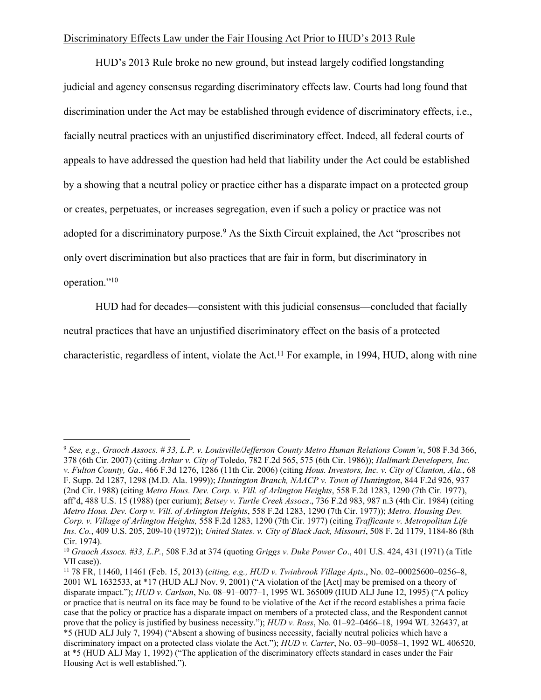### Discriminatory Effects Law under the Fair Housing Act Prior to HUD's 2013 Rule

HUD's 2013 Rule broke no new ground, but instead largely codified longstanding judicial and agency consensus regarding discriminatory effects law. Courts had long found that discrimination under the Act may be established through evidence of discriminatory effects, i.e., facially neutral practices with an unjustified discriminatory effect. Indeed, all federal courts of appeals to have addressed the question had held that liability under the Act could be established by a showing that a neutral policy or practice either has a disparate impact on a protected group or creates, perpetuates, or increases segregation, even if such a policy or practice was not adopted for a discriminatory purpose.<sup>9</sup> As the Sixth Circuit explained, the Act "proscribes not only overt discrimination but also practices that are fair in form, but discriminatory in operation."<sup>10</sup>

HUD had for decades—consistent with this judicial consensus—concluded that facially

neutral practices that have an unjustified discriminatory effect on the basis of a protected

characteristic, regardless of intent, violate the Act.<sup>11</sup> For example, in 1994, HUD, along with nine

<sup>9</sup> *See, e.g., Graoch Assocs. # 33, L.P. v. Louisville/Jefferson County Metro Human Relations Comm'n*, 508 F.3d 366, 378 (6th Cir. 2007) (citing *Arthur v. City of* Toledo, 782 F.2d 565, 575 (6th Cir. 1986)); *Hallmark Developers, Inc. v. Fulton County, Ga*., 466 F.3d 1276, 1286 (11th Cir. 2006) (citing *Hous. Investors, Inc. v. City of Clanton, Ala.*, 68 F. Supp. 2d 1287, 1298 (M.D. Ala. 1999)); *Huntington Branch, NAACP v. Town of Huntington*, 844 F.2d 926, 937 (2nd Cir. 1988) (citing *Metro Hous. Dev. Corp. v. Vill. of Arlington Heights*, 558 F.2d 1283, 1290 (7th Cir. 1977), aff'd, 488 U.S. 15 (1988) (per curium); *Betsey v. Turtle Creek Assocs*., 736 F.2d 983, 987 n.3 (4th Cir. 1984) (citing *Metro Hous. Dev. Corp v. Vill. of Arlington Heights*, 558 F.2d 1283, 1290 (7th Cir. 1977)); *Metro. Housing Dev. Corp. v. Village of Arlington Heights,* 558 F.2d 1283, 1290 (7th Cir. 1977) (citing *Trafficante v. Metropolitan Life Ins. Co.*, 409 U.S. 205, 209-10 (1972)); *United States. v. City of Black Jack, Missouri*, 508 F. 2d 1179, 1184-86 (8th Cir. 1974).

<sup>10</sup> *Graoch Assocs. #33, L.P.*, 508 F.3d at 374 (quoting *Griggs v. Duke Power Co*., 401 U.S. 424, 431 (1971) (a Title VII case)).

<sup>11</sup> 78 FR, 11460, 11461 (Feb. 15, 2013) (*citing, e.g., HUD v. Twinbrook Village Apts*., No. 02–00025600–0256–8, 2001 WL 1632533, at \*17 (HUD ALJ Nov. 9, 2001) ("A violation of the [Act] may be premised on a theory of disparate impact."); *HUD v. Carlson*, No. 08–91–0077–1, 1995 WL 365009 (HUD ALJ June 12, 1995) ("A policy or practice that is neutral on its face may be found to be violative of the Act if the record establishes a prima facie case that the policy or practice has a disparate impact on members of a protected class, and the Respondent cannot prove that the policy is justified by business necessity."); *HUD v. Ross*, No. 01–92–0466–18, 1994 WL 326437, at \*5 (HUD ALJ July 7, 1994) ("Absent a showing of business necessity, facially neutral policies which have a discriminatory impact on a protected class violate the Act."); *HUD v. Carter*, No. 03–90–0058–1, 1992 WL 406520, at \*5 (HUD ALJ May 1, 1992) ("The application of the discriminatory effects standard in cases under the Fair Housing Act is well established.").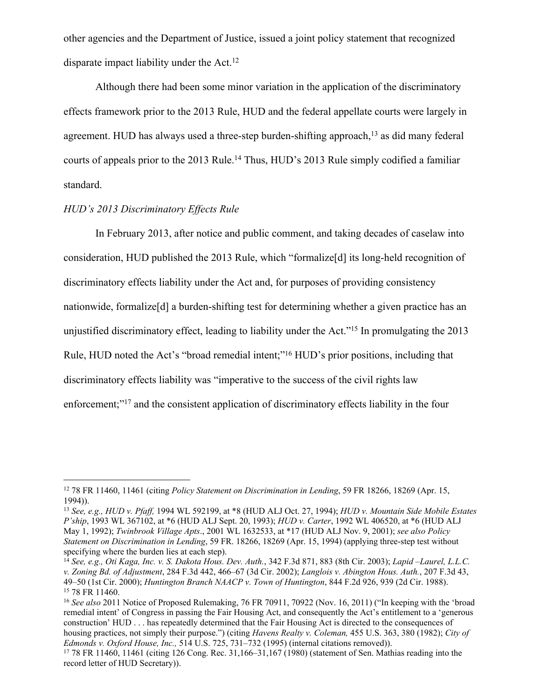other agencies and the Department of Justice, issued a joint policy statement that recognized disparate impact liability under the Act.<sup>12</sup>

Although there had been some minor variation in the application of the discriminatory effects framework prior to the 2013 Rule, HUD and the federal appellate courts were largely in agreement. HUD has always used a three-step burden-shifting approach,<sup>13</sup> as did many federal courts of appeals prior to the 2013 Rule.<sup>14</sup> Thus, HUD's 2013 Rule simply codified a familiar standard.

# *HUD's 2013 Discriminatory Effects Rule*

In February 2013, after notice and public comment, and taking decades of caselaw into consideration, HUD published the 2013 Rule, which "formalize[d] its long-held recognition of discriminatory effects liability under the Act and, for purposes of providing consistency nationwide, formalize[d] a burden-shifting test for determining whether a given practice has an unjustified discriminatory effect, leading to liability under the Act."<sup>15</sup> In promulgating the 2013 Rule, HUD noted the Act's "broad remedial intent;"<sup>16</sup> HUD's prior positions, including that discriminatory effects liability was "imperative to the success of the civil rights law enforcement;"<sup>17</sup> and the consistent application of discriminatory effects liability in the four

<sup>12</sup> 78 FR 11460, 11461 (citing *Policy Statement on Discrimination in Lending*, 59 FR 18266, 18269 (Apr. 15, 1994)).

<sup>13</sup> *See, e.g., HUD v. Pfaff,* 1994 WL 592199, at \*8 (HUD ALJ Oct. 27, 1994); *HUD v. Mountain Side Mobile Estates P'ship*, 1993 WL 367102, at \*6 (HUD ALJ Sept. 20, 1993); *HUD v. Carter*, 1992 WL 406520, at \*6 (HUD ALJ May 1, 1992); *Twinbrook Village Apts*., 2001 WL 1632533, at \*17 (HUD ALJ Nov. 9, 2001); *see also Policy Statement on Discrimination in Lending*, 59 FR. 18266, 18269 (Apr. 15, 1994) (applying three-step test without specifying where the burden lies at each step).

<sup>14</sup> *See, e.g., Oti Kaga, Inc. v. S. Dakota Hous. Dev. Auth.*, 342 F.3d 871, 883 (8th Cir. 2003); *Lapid –Laurel, L.L.C. v. Zoning Bd. of Adjustment*, 284 F.3d 442, 466–67 (3d Cir. 2002); *Langlois v. Abington Hous. Auth.*, 207 F.3d 43, 49–50 (1st Cir. 2000); *Huntington Branch NAACP v. Town of Huntington*, 844 F.2d 926, 939 (2d Cir. 1988). <sup>15</sup> 78 FR 11460.

<sup>&</sup>lt;sup>16</sup> *See also* 2011 Notice of Proposed Rulemaking, 76 FR 70911, 70922 (Nov. 16, 2011) ("In keeping with the 'broad remedial intent' of Congress in passing the Fair Housing Act, and consequently the Act's entitlement to a 'generous construction' HUD . . . has repeatedly determined that the Fair Housing Act is directed to the consequences of housing practices, not simply their purpose.") (citing *Havens Realty v. Coleman,* 455 U.S. 363, 380 (1982); *City of Edmonds v. Oxford House, Inc.,* 514 U.S. 725, 731–732 (1995) (internal citations removed)).

<sup>17</sup> 78 FR 11460, 11461 (citing 126 Cong. Rec. 31,166–31,167 (1980) (statement of Sen. Mathias reading into the record letter of HUD Secretary)).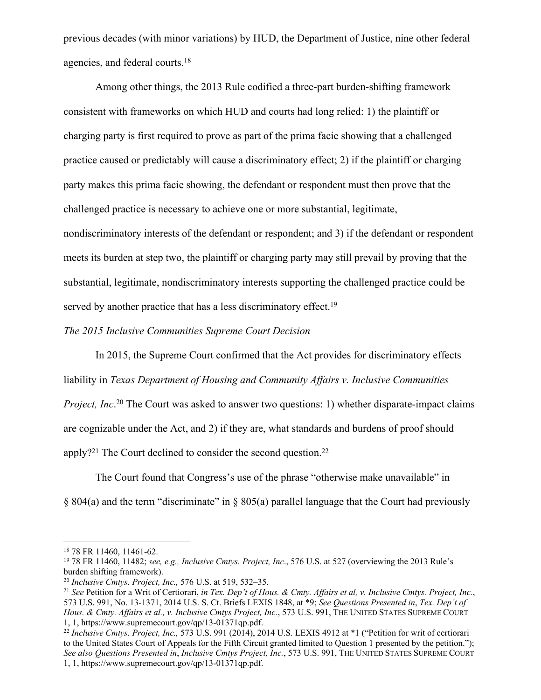previous decades (with minor variations) by HUD, the Department of Justice, nine other federal agencies, and federal courts.<sup>18</sup>

Among other things, the 2013 Rule codified a three-part burden-shifting framework consistent with frameworks on which HUD and courts had long relied: 1) the plaintiff or charging party is first required to prove as part of the prima facie showing that a challenged practice caused or predictably will cause a discriminatory effect; 2) if the plaintiff or charging party makes this prima facie showing, the defendant or respondent must then prove that the challenged practice is necessary to achieve one or more substantial, legitimate, nondiscriminatory interests of the defendant or respondent; and 3) if the defendant or respondent meets its burden at step two, the plaintiff or charging party may still prevail by proving that the substantial, legitimate, nondiscriminatory interests supporting the challenged practice could be served by another practice that has a less discriminatory effect.<sup>19</sup>

### *The 2015 Inclusive Communities Supreme Court Decision*

In 2015, the Supreme Court confirmed that the Act provides for discriminatory effects liability in *Texas Department of Housing and Community Affairs v. Inclusive Communities Project, Inc*. <sup>20</sup> The Court was asked to answer two questions: 1) whether disparate-impact claims are cognizable under the Act, and 2) if they are, what standards and burdens of proof should apply?<sup>21</sup> The Court declined to consider the second question.<sup>22</sup>

The Court found that Congress's use of the phrase "otherwise make unavailable" in § 804(a) and the term "discriminate" in § 805(a) parallel language that the Court had previously

<sup>18</sup> 78 FR 11460, 11461-62.

<sup>19</sup> 78 FR 11460, 11482; *see, e.g., Inclusive Cmtys. Project, Inc*., 576 U.S. at 527 (overviewing the 2013 Rule's burden shifting framework).

<sup>20</sup> *Inclusive Cmtys. Project, Inc.,* 576 U.S. at 519, 532–35.

<sup>21</sup> *See* Petition for a Writ of Certiorari, *in Tex. Dep't of Hous. & Cmty. Affairs et al, v. Inclusive Cmtys. Project, Inc.*, 573 U.S. 991, No. 13-1371, 2014 U.S. S. Ct. Briefs LEXIS 1848, at \*9; *See Questions Presented in*, *Tex. Dep't of Hous. & Cmty. Affairs et al., v. Inclusive Cmtys Project, Inc.*, 573 U.S. 991, THE UNITED STATES SUPREME COURT 1, 1, https://www.supremecourt.gov/qp/13-01371qp.pdf.

<sup>22</sup> *Inclusive Cmtys. Project, Inc.,* 573 U.S. 991 (2014), 2014 U.S. LEXIS 4912 at \*1 ("Petition for writ of certiorari to the United States Court of Appeals for the Fifth Circuit granted limited to Question 1 presented by the petition."); *See also Questions Presented in*, *Inclusive Cmtys Project, Inc.*, 573 U.S. 991, THE UNITED STATES SUPREME COURT 1, 1, https://www.supremecourt.gov/qp/13-01371qp.pdf.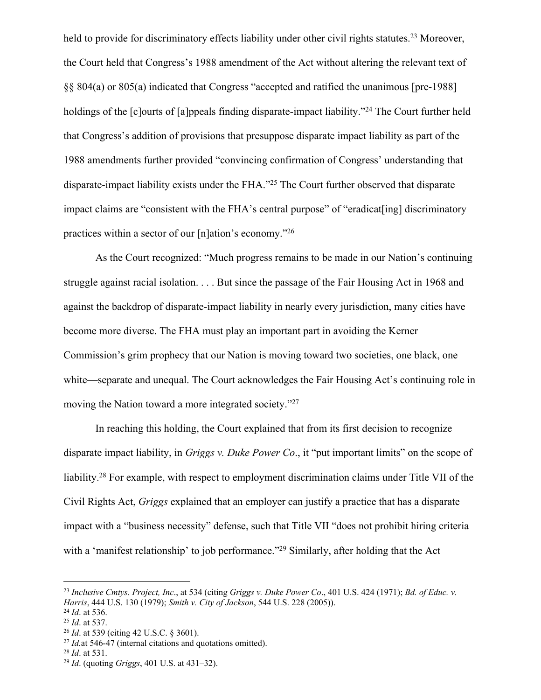held to provide for discriminatory effects liability under other civil rights statutes.<sup>23</sup> Moreover, the Court held that Congress's 1988 amendment of the Act without altering the relevant text of §§ 804(a) or 805(a) indicated that Congress "accepted and ratified the unanimous [pre-1988] holdings of the [c]ourts of [a]ppeals finding disparate-impact liability."<sup>24</sup> The Court further held that Congress's addition of provisions that presuppose disparate impact liability as part of the 1988 amendments further provided "convincing confirmation of Congress' understanding that disparate-impact liability exists under the FHA."<sup>25</sup> The Court further observed that disparate impact claims are "consistent with the FHA's central purpose" of "eradicat[ing] discriminatory practices within a sector of our [n]ation's economy."<sup>26</sup>

As the Court recognized: "Much progress remains to be made in our Nation's continuing struggle against racial isolation. . . . But since the passage of the Fair Housing Act in 1968 and against the backdrop of disparate-impact liability in nearly every jurisdiction, many cities have become more diverse. The FHA must play an important part in avoiding the Kerner Commission's grim prophecy that our Nation is moving toward two societies, one black, one white—separate and unequal. The Court acknowledges the Fair Housing Act's continuing role in moving the Nation toward a more integrated society."<sup>27</sup>

In reaching this holding, the Court explained that from its first decision to recognize disparate impact liability, in *Griggs v. Duke Power Co*., it "put important limits" on the scope of liability.<sup>28</sup> For example, with respect to employment discrimination claims under Title VII of the Civil Rights Act, *Griggs* explained that an employer can justify a practice that has a disparate impact with a "business necessity" defense, such that Title VII "does not prohibit hiring criteria with a 'manifest relationship' to job performance."<sup>29</sup> Similarly, after holding that the Act

<sup>23</sup> *Inclusive Cmtys. Project, Inc*., at 534 (citing *Griggs v. Duke Power Co*., 401 U.S. 424 (1971); *Bd. of Educ. v. Harris*, 444 U.S. 130 (1979); *Smith v. City of Jackson*, 544 U.S. 228 (2005)).

<sup>24</sup> *Id*. at 536.

<sup>25</sup> *Id*. at 537.

<sup>26</sup> *Id*. at 539 (citing 42 U.S.C. § 3601).

<sup>27</sup> *Id.*at 546-47 (internal citations and quotations omitted).

<sup>28</sup> *Id*. at 531.

<sup>29</sup> *Id*. (quoting *Griggs*, 401 U.S. at 431–32).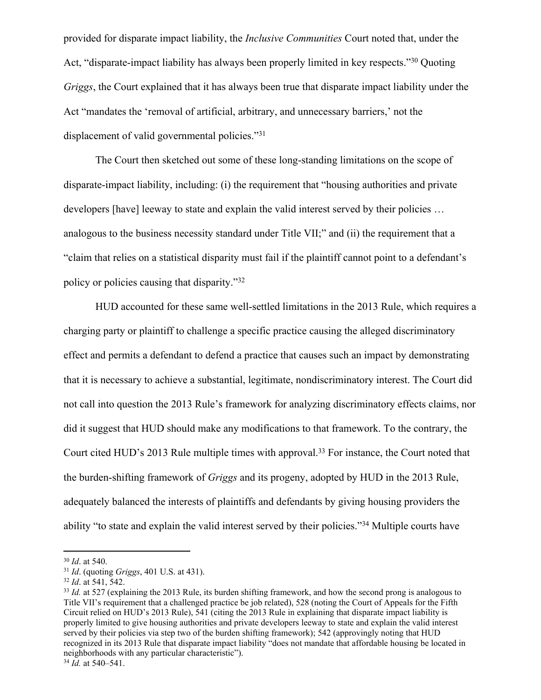provided for disparate impact liability, the *Inclusive Communities* Court noted that, under the Act, "disparate-impact liability has always been properly limited in key respects."<sup>30</sup> Quoting *Griggs*, the Court explained that it has always been true that disparate impact liability under the Act "mandates the 'removal of artificial, arbitrary, and unnecessary barriers,' not the displacement of valid governmental policies."<sup>31</sup>

The Court then sketched out some of these long-standing limitations on the scope of disparate-impact liability, including: (i) the requirement that "housing authorities and private developers [have] leeway to state and explain the valid interest served by their policies … analogous to the business necessity standard under Title VII;" and (ii) the requirement that a "claim that relies on a statistical disparity must fail if the plaintiff cannot point to a defendant's policy or policies causing that disparity."<sup>32</sup>

HUD accounted for these same well-settled limitations in the 2013 Rule, which requires a charging party or plaintiff to challenge a specific practice causing the alleged discriminatory effect and permits a defendant to defend a practice that causes such an impact by demonstrating that it is necessary to achieve a substantial, legitimate, nondiscriminatory interest. The Court did not call into question the 2013 Rule's framework for analyzing discriminatory effects claims, nor did it suggest that HUD should make any modifications to that framework. To the contrary, the Court cited HUD's 2013 Rule multiple times with approval.<sup>33</sup> For instance, the Court noted that the burden-shifting framework of *Griggs* and its progeny, adopted by HUD in the 2013 Rule, adequately balanced the interests of plaintiffs and defendants by giving housing providers the ability "to state and explain the valid interest served by their policies."<sup>34</sup> Multiple courts have

<sup>30</sup> *Id*. at 540.

<sup>31</sup> *Id*. (quoting *Griggs*, 401 U.S. at 431).

<sup>32</sup> *Id*. at 541, 542.

<sup>&</sup>lt;sup>33</sup> *Id.* at 527 (explaining the 2013 Rule, its burden shifting framework, and how the second prong is analogous to Title VII's requirement that a challenged practice be job related), 528 (noting the Court of Appeals for the Fifth Circuit relied on HUD's 2013 Rule), 541 (citing the 2013 Rule in explaining that disparate impact liability is properly limited to give housing authorities and private developers leeway to state and explain the valid interest served by their policies via step two of the burden shifting framework); 542 (approvingly noting that HUD recognized in its 2013 Rule that disparate impact liability "does not mandate that affordable housing be located in neighborhoods with any particular characteristic").

<sup>34</sup> *Id.* at 540–541.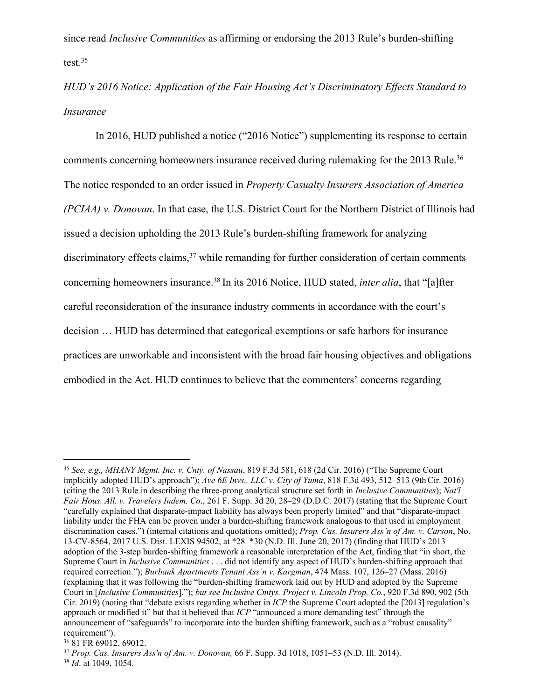since read *Inclusive Communities* as affirming or endorsing the 2013 Rule's burden-shifting test*.* 35

*HUD's 2016 Notice: Application of the Fair Housing Act's Discriminatory Effects Standard to Insurance*

In 2016, HUD published a notice ("2016 Notice") supplementing its response to certain comments concerning homeowners insurance received during rulemaking for the 2013 Rule.<sup>36</sup> The notice responded to an order issued in *Property Casualty Insurers Association of America (PCIAA) v. Donovan*. In that case, the U.S. District Court for the Northern District of Illinois had issued a decision upholding the 2013 Rule's burden-shifting framework for analyzing discriminatory effects claims,<sup>37</sup> while remanding for further consideration of certain comments concerning homeowners insurance.<sup>38</sup> In its 2016 Notice, HUD stated, *inter alia*, that "[a]fter careful reconsideration of the insurance industry comments in accordance with the court's decision … HUD has determined that categorical exemptions or safe harbors for insurance practices are unworkable and inconsistent with the broad fair housing objectives and obligations embodied in the Act. HUD continues to believe that the commenters' concerns regarding

<sup>35</sup> *See, e.g., MHANY Mgmt. Inc. v. Cnty. of Nassau*, 819 F.3d 581, 618 (2d Cir. 2016) ("The Supreme Court implicitly adopted HUD's approach"); *Ave 6E Invs., LLC v. City of Yuma*, 818 F.3d 493, 512–513 (9thCir. 2016) (citing the 2013 Rule in describing the three-prong analytical structure set forth in *Inclusive Communities*); *Nat'l Fair Hous. All. v. Travelers Indem. Co*., 261 F. Supp. 3d 20, 28–29 (D.D.C. 2017) (stating that the Supreme Court "carefully explained that disparate-impact liability has always been properly limited" and that "disparate-impact liability under the FHA can be proven under a burden-shifting framework analogous to that used in employment discrimination cases.") (internal citations and quotations omitted); *Prop. Cas. Insurers Ass'n of Am. v. Carson*, No. 13-CV-8564, 2017 U.S. Dist. LEXIS 94502, at \*28–\*30 (N.D. Ill. June 20, 2017) (finding that HUD's 2013 adoption of the 3-step burden-shifting framework a reasonable interpretation of the Act, finding that "in short, the Supreme Court in *Inclusive Communities* . . . did not identify any aspect of HUD's burden-shifting approach that required correction."); *Burbank Apartments Tenant Ass'n v. Kargman*, 474 Mass. 107, 126–27 (Mass. 2016) (explaining that it was following the "burden-shifting framework laid out by HUD and adopted by the Supreme Court in [*Inclusive Communities*]."); *but see Inclusive Cmtys. Project v. Lincoln Prop. Co.*, 920 F.3d 890, 902 (5th Cir. 2019) (noting that "debate exists regarding whether in *ICP* the Supreme Court adopted the [2013] regulation's approach or modified it" but that it believed that *ICP* "announced a more demanding test" through the announcement of "safeguards" to incorporate into the burden shifting framework, such as a "robust causality" requirement").

<sup>36</sup> 81 FR 69012, 69012.

<sup>37</sup> *Prop. Cas. Insurers Ass'n of Am. v. Donovan,* 66 F. Supp. 3d 1018, 1051–53 (N.D. Ill. 2014). <sup>38</sup> *Id*. at 1049, 1054.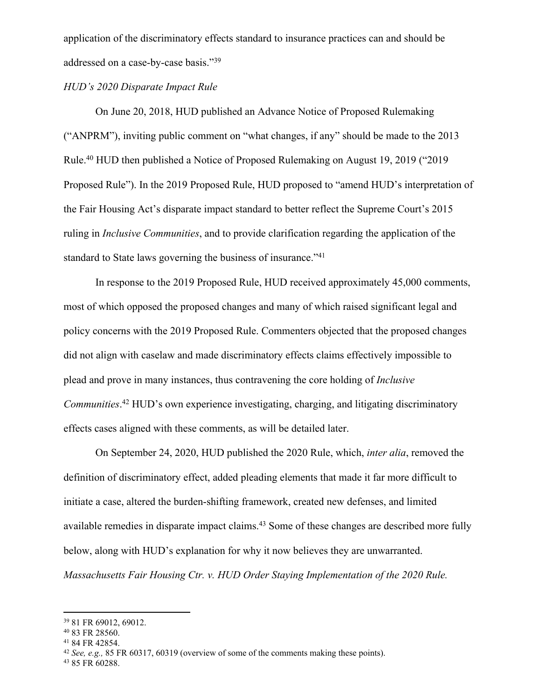application of the discriminatory effects standard to insurance practices can and should be addressed on a case-by-case basis."<sup>39</sup>

# *HUD's 2020 Disparate Impact Rule*

On June 20, 2018, HUD published an Advance Notice of Proposed Rulemaking ("ANPRM"), inviting public comment on "what changes, if any" should be made to the 2013 Rule.<sup>40</sup> HUD then published a Notice of Proposed Rulemaking on August 19, 2019 ("2019 Proposed Rule"). In the 2019 Proposed Rule, HUD proposed to "amend HUD's interpretation of the Fair Housing Act's disparate impact standard to better reflect the Supreme Court's 2015 ruling in *Inclusive Communities*, and to provide clarification regarding the application of the standard to State laws governing the business of insurance."<sup>41</sup>

In response to the 2019 Proposed Rule, HUD received approximately 45,000 comments, most of which opposed the proposed changes and many of which raised significant legal and policy concerns with the 2019 Proposed Rule. Commenters objected that the proposed changes did not align with caselaw and made discriminatory effects claims effectively impossible to plead and prove in many instances, thus contravening the core holding of *Inclusive Communities*. <sup>42</sup> HUD's own experience investigating, charging, and litigating discriminatory effects cases aligned with these comments, as will be detailed later.

On September 24, 2020, HUD published the 2020 Rule, which, *inter alia*, removed the definition of discriminatory effect, added pleading elements that made it far more difficult to initiate a case, altered the burden-shifting framework, created new defenses, and limited available remedies in disparate impact claims.<sup>43</sup> Some of these changes are described more fully below, along with HUD's explanation for why it now believes they are unwarranted. *Massachusetts Fair Housing Ctr. v. HUD Order Staying Implementation of the 2020 Rule.* 

<sup>39</sup> 81 FR 69012, 69012.

<sup>40</sup> 83 FR 28560.

<sup>41</sup> 84 FR 42854.

<sup>42</sup> *See, e.g.,* 85 FR 60317, 60319 (overview of some of the comments making these points).

<sup>43</sup> 85 FR 60288.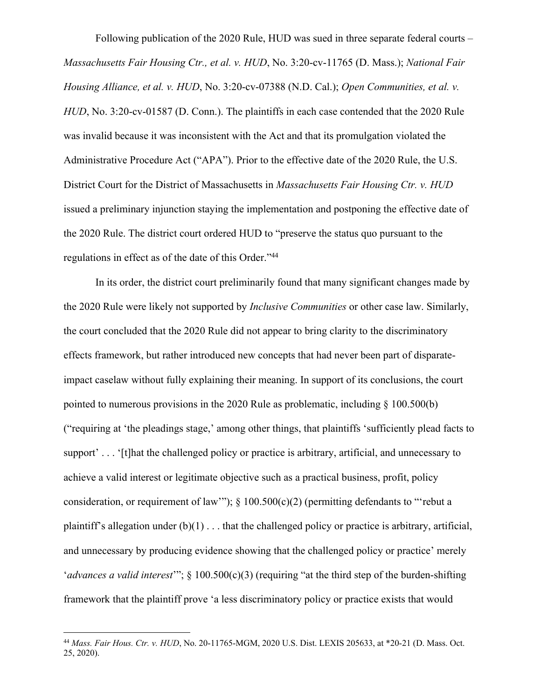Following publication of the 2020 Rule, HUD was sued in three separate federal courts – *Massachusetts Fair Housing Ctr., et al. v. HUD*, No. 3:20-cv-11765 (D. Mass.); *National Fair Housing Alliance, et al. v. HUD*, No. 3:20-cv-07388 (N.D. Cal.); *Open Communities, et al. v. HUD*, No. 3:20-cv-01587 (D. Conn.). The plaintiffs in each case contended that the 2020 Rule was invalid because it was inconsistent with the Act and that its promulgation violated the Administrative Procedure Act ("APA"). Prior to the effective date of the 2020 Rule, the U.S. District Court for the District of Massachusetts in *Massachusetts Fair Housing Ctr. v. HUD* issued a preliminary injunction staying the implementation and postponing the effective date of the 2020 Rule. The district court ordered HUD to "preserve the status quo pursuant to the regulations in effect as of the date of this Order."<sup>44</sup>

In its order, the district court preliminarily found that many significant changes made by the 2020 Rule were likely not supported by *Inclusive Communities* or other case law. Similarly, the court concluded that the 2020 Rule did not appear to bring clarity to the discriminatory effects framework, but rather introduced new concepts that had never been part of disparateimpact caselaw without fully explaining their meaning. In support of its conclusions, the court pointed to numerous provisions in the 2020 Rule as problematic, including § 100.500(b) ("requiring at 'the pleadings stage,' among other things, that plaintiffs 'sufficiently plead facts to support'... '[t]hat the challenged policy or practice is arbitrary, artificial, and unnecessary to achieve a valid interest or legitimate objective such as a practical business, profit, policy consideration, or requirement of law"");  $\S$  100.500(c)(2) (permitting defendants to "rebut a plaintiff's allegation under  $(b)(1)$ ... that the challenged policy or practice is arbitrary, artificial, and unnecessary by producing evidence showing that the challenged policy or practice' merely '*advances a valid interest*'"; § 100.500(c)(3) (requiring "at the third step of the burden-shifting framework that the plaintiff prove 'a less discriminatory policy or practice exists that would

<sup>44</sup> *Mass. Fair Hous. Ctr. v. HUD*, No. 20-11765-MGM, 2020 U.S. Dist. LEXIS 205633, at \*20-21 (D. Mass. Oct. 25, 2020).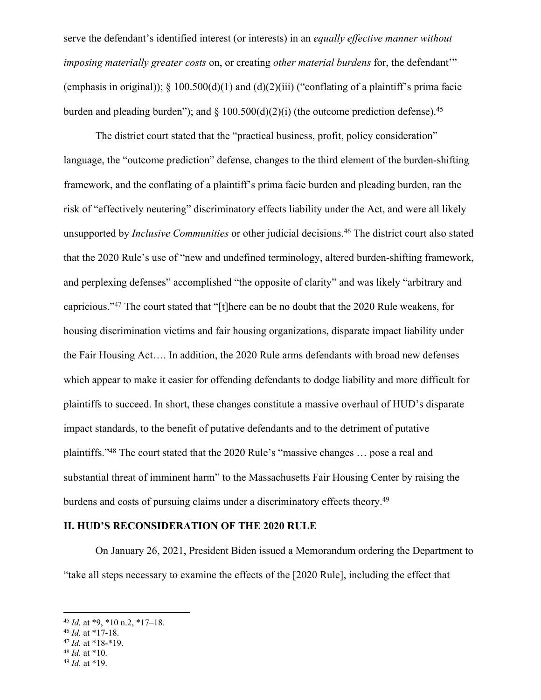serve the defendant's identified interest (or interests) in an *equally effective manner without imposing materially greater costs* on, or creating *other material burdens* for, the defendant'" (emphasis in original));  $\S$  100.500(d)(1) and (d)(2)(iii) ("conflating of a plaintiff's prima facie burden and pleading burden"); and  $\S$  100.500(d)(2)(i) (the outcome prediction defense).<sup>45</sup>

The district court stated that the "practical business, profit, policy consideration" language, the "outcome prediction" defense, changes to the third element of the burden-shifting framework, and the conflating of a plaintiff's prima facie burden and pleading burden, ran the risk of "effectively neutering" discriminatory effects liability under the Act, and were all likely unsupported by *Inclusive Communities* or other judicial decisions.<sup>46</sup> The district court also stated that the 2020 Rule's use of "new and undefined terminology, altered burden-shifting framework, and perplexing defenses" accomplished "the opposite of clarity" and was likely "arbitrary and capricious."<sup>47</sup> The court stated that "[t]here can be no doubt that the 2020 Rule weakens, for housing discrimination victims and fair housing organizations, disparate impact liability under the Fair Housing Act…. In addition, the 2020 Rule arms defendants with broad new defenses which appear to make it easier for offending defendants to dodge liability and more difficult for plaintiffs to succeed. In short, these changes constitute a massive overhaul of HUD's disparate impact standards, to the benefit of putative defendants and to the detriment of putative plaintiffs."<sup>48</sup> The court stated that the 2020 Rule's "massive changes … pose a real and substantial threat of imminent harm" to the Massachusetts Fair Housing Center by raising the burdens and costs of pursuing claims under a discriminatory effects theory.<sup>49</sup>

#### **II. HUD'S RECONSIDERATION OF THE 2020 RULE**

On January 26, 2021, President Biden issued a Memorandum ordering the Department to "take all steps necessary to examine the effects of the [2020 Rule], including the effect that

<sup>45</sup> *Id.* at \*9, \*10 n.2, \*17–18.

<sup>46</sup> *Id.* at \*17-18.

<sup>47</sup> *Id.* at \*18-\*19.

<sup>48</sup> *Id.* at \*10.

<sup>49</sup> *Id.* at \*19.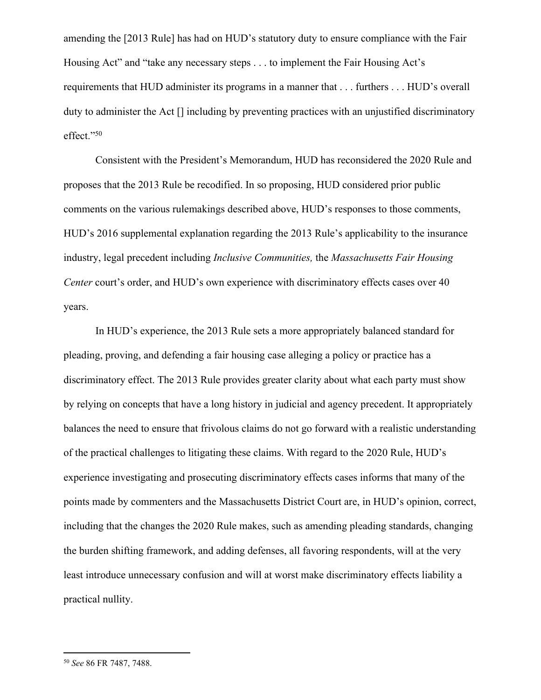amending the [2013 Rule] has had on HUD's statutory duty to ensure compliance with the Fair Housing Act" and "take any necessary steps . . . to implement the Fair Housing Act's requirements that HUD administer its programs in a manner that . . . furthers . . . HUD's overall duty to administer the Act [] including by preventing practices with an unjustified discriminatory effect."<sup>50</sup>

Consistent with the President's Memorandum, HUD has reconsidered the 2020 Rule and proposes that the 2013 Rule be recodified. In so proposing, HUD considered prior public comments on the various rulemakings described above, HUD's responses to those comments, HUD's 2016 supplemental explanation regarding the 2013 Rule's applicability to the insurance industry, legal precedent including *Inclusive Communities,* the *Massachusetts Fair Housing Center* court's order, and HUD's own experience with discriminatory effects cases over 40 years.

In HUD's experience, the 2013 Rule sets a more appropriately balanced standard for pleading, proving, and defending a fair housing case alleging a policy or practice has a discriminatory effect. The 2013 Rule provides greater clarity about what each party must show by relying on concepts that have a long history in judicial and agency precedent. It appropriately balances the need to ensure that frivolous claims do not go forward with a realistic understanding of the practical challenges to litigating these claims. With regard to the 2020 Rule, HUD's experience investigating and prosecuting discriminatory effects cases informs that many of the points made by commenters and the Massachusetts District Court are, in HUD's opinion, correct, including that the changes the 2020 Rule makes, such as amending pleading standards, changing the burden shifting framework, and adding defenses, all favoring respondents, will at the very least introduce unnecessary confusion and will at worst make discriminatory effects liability a practical nullity.

<sup>50</sup> *See* 86 FR 7487, 7488.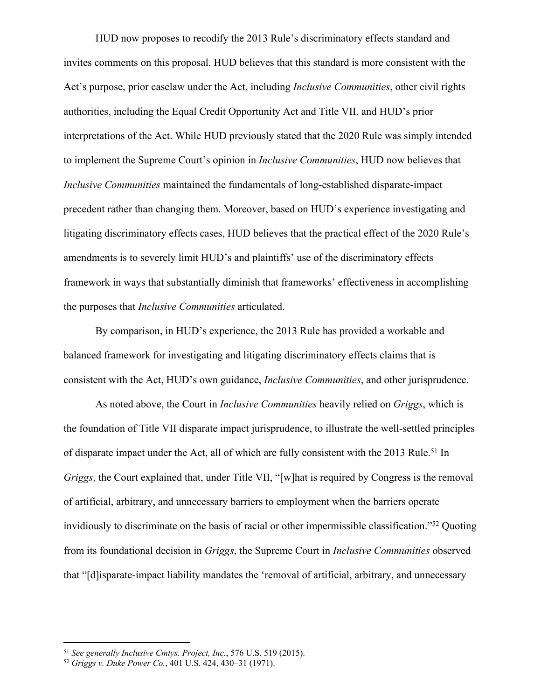HUD now proposes to recodify the 2013 Rule's discriminatory effects standard and invites comments on this proposal. HUD believes that this standard is more consistent with the Act's purpose, prior caselaw under the Act, including *Inclusive Communities*, other civil rights authorities, including the Equal Credit Opportunity Act and Title VII, and HUD's prior interpretations of the Act. While HUD previously stated that the 2020 Rule was simply intended to implement the Supreme Court's opinion in *Inclusive Communities*, HUD now believes that *Inclusive Communities* maintained the fundamentals of long-established disparate-impact precedent rather than changing them. Moreover, based on HUD's experience investigating and litigating discriminatory effects cases, HUD believes that the practical effect of the 2020 Rule's amendments is to severely limit HUD's and plaintiffs' use of the discriminatory effects framework in ways that substantially diminish that frameworks' effectiveness in accomplishing the purposes that *Inclusive Communities* articulated.

By comparison, in HUD's experience, the 2013 Rule has provided a workable and balanced framework for investigating and litigating discriminatory effects claims that is consistent with the Act, HUD's own guidance, *Inclusive Communities*, and other jurisprudence.

As noted above, the Court in *Inclusive Communities* heavily relied on *Griggs*, which is the foundation of Title VII disparate impact jurisprudence, to illustrate the well-settled principles of disparate impact under the Act, all of which are fully consistent with the 2013 Rule.<sup>51</sup> In *Griggs*, the Court explained that, under Title VII, "[w]hat is required by Congress is the removal of artificial, arbitrary, and unnecessary barriers to employment when the barriers operate invidiously to discriminate on the basis of racial or other impermissible classification."<sup>52</sup> Quoting from its foundational decision in *Griggs*, the Supreme Court in *Inclusive Communities* observed that "[d]isparate-impact liability mandates the 'removal of artificial, arbitrary, and unnecessary

<sup>51</sup> *See generally Inclusive Cmtys. Project, Inc.*, 576 U.S. 519 (2015).

<sup>52</sup> *Griggs v. Duke Power Co.*, 401 U.S. 424, 430–31 (1971).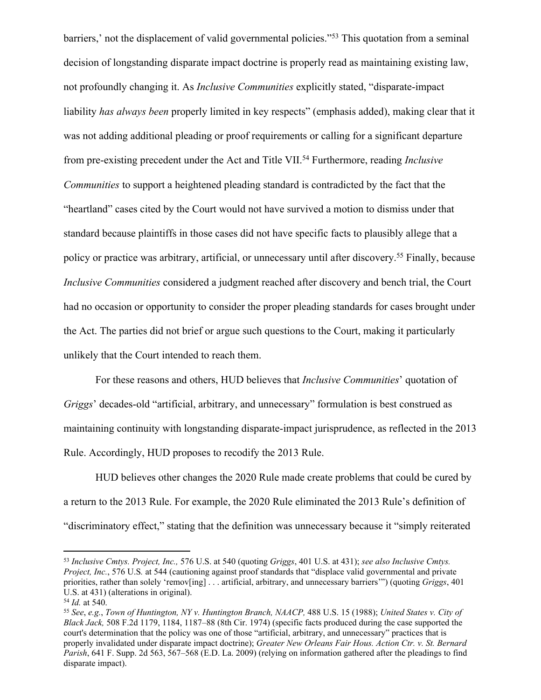barriers,' not the displacement of valid governmental policies."<sup>53</sup> This quotation from a seminal decision of longstanding disparate impact doctrine is properly read as maintaining existing law, not profoundly changing it. As *Inclusive Communities* explicitly stated, "disparate-impact liability *has always been* properly limited in key respects" (emphasis added), making clear that it was not adding additional pleading or proof requirements or calling for a significant departure from pre-existing precedent under the Act and Title VII.<sup>54</sup> Furthermore, reading *Inclusive Communities* to support a heightened pleading standard is contradicted by the fact that the "heartland" cases cited by the Court would not have survived a motion to dismiss under that standard because plaintiffs in those cases did not have specific facts to plausibly allege that a policy or practice was arbitrary, artificial, or unnecessary until after discovery.<sup>55</sup> Finally, because *Inclusive Communities* considered a judgment reached after discovery and bench trial, the Court had no occasion or opportunity to consider the proper pleading standards for cases brought under the Act. The parties did not brief or argue such questions to the Court, making it particularly unlikely that the Court intended to reach them.

For these reasons and others, HUD believes that *Inclusive Communities*' quotation of *Griggs*' decades-old "artificial, arbitrary, and unnecessary" formulation is best construed as maintaining continuity with longstanding disparate-impact jurisprudence, as reflected in the 2013 Rule. Accordingly, HUD proposes to recodify the 2013 Rule.

HUD believes other changes the 2020 Rule made create problems that could be cured by a return to the 2013 Rule. For example, the 2020 Rule eliminated the 2013 Rule's definition of "discriminatory effect," stating that the definition was unnecessary because it "simply reiterated

<sup>53</sup> *Inclusive Cmtys. Project, Inc.,* 576 U.S. at 540 (quoting *Griggs*, 401 U.S. at 431); *see also Inclusive Cmtys. Project, Inc.*, 576 U.S*.* at 544 (cautioning against proof standards that "displace valid governmental and private priorities, rather than solely 'remov[ing] . . . artificial, arbitrary, and unnecessary barriers'") (quoting *Griggs*, 401 U.S. at 431) (alterations in original).

<sup>54</sup> *Id.* at 540.

<sup>55</sup> *See*, *e.g.*, *Town of Huntington, NY v. Huntington Branch, NAACP,* 488 U.S. 15 (1988); *United States v. City of Black Jack,* 508 F.2d 1179, 1184, 1187–88 (8th Cir. 1974) (specific facts produced during the case supported the court's determination that the policy was one of those "artificial, arbitrary, and unnecessary" practices that is properly invalidated under disparate impact doctrine); *Greater New Orleans Fair Hous. Action Ctr. v. St. Bernard Parish*, 641 F. Supp. 2d 563, 567–568 (E.D. La. 2009) (relying on information gathered after the pleadings to find disparate impact).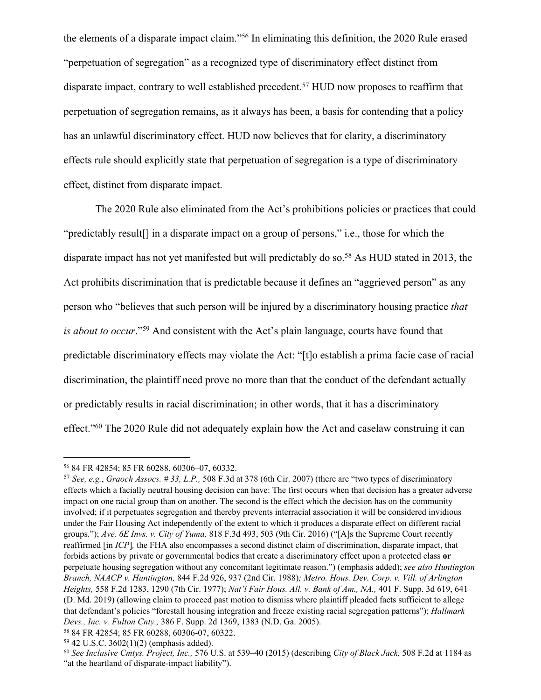the elements of a disparate impact claim."<sup>56</sup> In eliminating this definition, the 2020 Rule erased "perpetuation of segregation" as a recognized type of discriminatory effect distinct from disparate impact, contrary to well established precedent.<sup>57</sup> HUD now proposes to reaffirm that perpetuation of segregation remains, as it always has been, a basis for contending that a policy has an unlawful discriminatory effect. HUD now believes that for clarity, a discriminatory effects rule should explicitly state that perpetuation of segregation is a type of discriminatory effect, distinct from disparate impact.

The 2020 Rule also eliminated from the Act's prohibitions policies or practices that could "predictably result[] in a disparate impact on a group of persons," i.e., those for which the disparate impact has not yet manifested but will predictably do so.<sup>58</sup> As HUD stated in 2013, the Act prohibits discrimination that is predictable because it defines an "aggrieved person" as any person who "believes that such person will be injured by a discriminatory housing practice *that is about to occur*."<sup>59</sup> And consistent with the Act's plain language, courts have found that predictable discriminatory effects may violate the Act: "[t]o establish a prima facie case of racial discrimination, the plaintiff need prove no more than that the conduct of the defendant actually or predictably results in racial discrimination; in other words, that it has a discriminatory effect."<sup>60</sup> The 2020 Rule did not adequately explain how the Act and caselaw construing it can

<sup>56</sup> 84 FR 42854; 85 FR 60288, 60306–07, 60332.

<sup>57</sup> *See, e.g.*, *Graoch Assocs. # 33, L.P.,* 508 F.3d at 378 (6th Cir. 2007) (there are "two types of discriminatory effects which a facially neutral housing decision can have: The first occurs when that decision has a greater adverse impact on one racial group than on another. The second is the effect which the decision has on the community involved; if it perpetuates segregation and thereby prevents interracial association it will be considered invidious under the Fair Housing Act independently of the extent to which it produces a disparate effect on different racial groups."); *Ave. 6E Invs. v. City of Yuma,* 818 F.3d 493, 503 (9th Cir. 2016) ("[A]s the Supreme Court recently reaffirmed [in *ICP*]*,* the FHA also encompasses a second distinct claim of discrimination, disparate impact, that forbids actions by private or governmental bodies that create a discriminatory effect upon a protected class **or** perpetuate housing segregation without any concomitant legitimate reason.") (emphasis added); *see also Huntington Branch, NAACP v. Huntington,* 844 F.2d 926, 937 (2nd Cir. 1988)*; Metro. Hous. Dev. Corp. v. Vill. of Arlington Heights,* 558 F.2d 1283, 1290 (7th Cir. 1977); *Nat'l Fair Hous. All. v. Bank of Am., NA.,* 401 F. Supp. 3d 619, 641 (D. Md. 2019) (allowing claim to proceed past motion to dismiss where plaintiff pleaded facts sufficient to allege that defendant's policies "forestall housing integration and freeze existing racial segregation patterns"); *Hallmark Devs., Inc. v. Fulton Cnty.,* 386 F. Supp. 2d 1369, 1383 (N.D. Ga. 2005).

<sup>58</sup> 84 FR 42854; 85 FR 60288, 60306-07, 60322.

<sup>59</sup> 42 U.S.C. 3602(1)(2) (emphasis added).

<sup>60</sup> *See Inclusive Cmtys. Project, Inc.,* 576 U.S. at 539–40 (2015) (describing *City of Black Jack,* 508 F.2d at 1184 as "at the heartland of disparate-impact liability").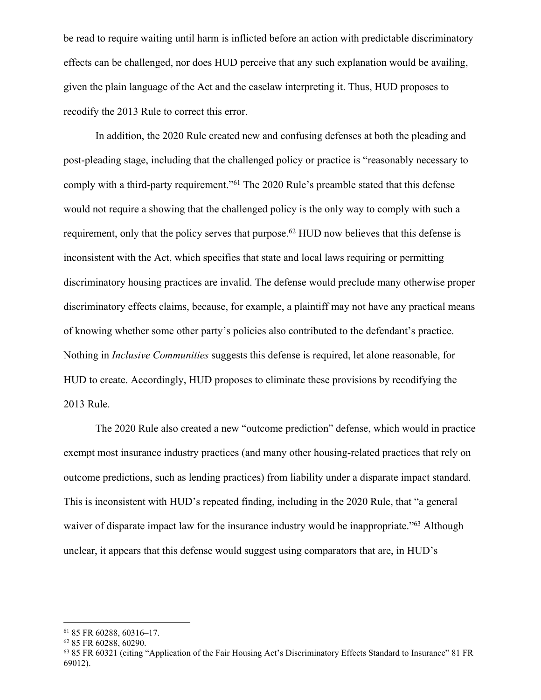be read to require waiting until harm is inflicted before an action with predictable discriminatory effects can be challenged, nor does HUD perceive that any such explanation would be availing, given the plain language of the Act and the caselaw interpreting it. Thus, HUD proposes to recodify the 2013 Rule to correct this error.

In addition, the 2020 Rule created new and confusing defenses at both the pleading and post-pleading stage, including that the challenged policy or practice is "reasonably necessary to comply with a third-party requirement."<sup>61</sup> The 2020 Rule's preamble stated that this defense would not require a showing that the challenged policy is the only way to comply with such a requirement, only that the policy serves that purpose.<sup>62</sup> HUD now believes that this defense is inconsistent with the Act, which specifies that state and local laws requiring or permitting discriminatory housing practices are invalid. The defense would preclude many otherwise proper discriminatory effects claims, because, for example, a plaintiff may not have any practical means of knowing whether some other party's policies also contributed to the defendant's practice. Nothing in *Inclusive Communities* suggests this defense is required, let alone reasonable, for HUD to create. Accordingly, HUD proposes to eliminate these provisions by recodifying the 2013 Rule.

The 2020 Rule also created a new "outcome prediction" defense, which would in practice exempt most insurance industry practices (and many other housing-related practices that rely on outcome predictions, such as lending practices) from liability under a disparate impact standard. This is inconsistent with HUD's repeated finding, including in the 2020 Rule, that "a general waiver of disparate impact law for the insurance industry would be inappropriate."<sup>63</sup> Although unclear, it appears that this defense would suggest using comparators that are, in HUD's

<sup>61</sup> 85 FR 60288, 60316–17.

<sup>62</sup> 85 FR 60288, 60290.

<sup>63</sup> 85 FR 60321 (citing "Application of the Fair Housing Act's Discriminatory Effects Standard to Insurance" 81 FR 69012).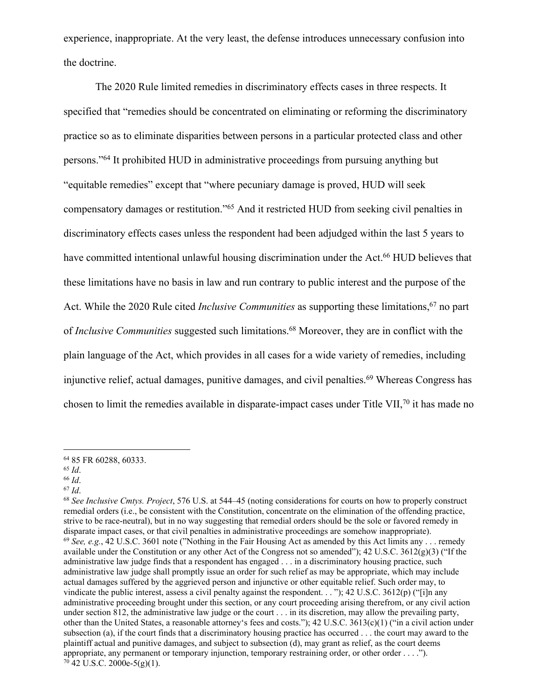experience, inappropriate. At the very least, the defense introduces unnecessary confusion into the doctrine.

The 2020 Rule limited remedies in discriminatory effects cases in three respects. It specified that "remedies should be concentrated on eliminating or reforming the discriminatory practice so as to eliminate disparities between persons in a particular protected class and other persons."<sup>64</sup> It prohibited HUD in administrative proceedings from pursuing anything but "equitable remedies" except that "where pecuniary damage is proved, HUD will seek compensatory damages or restitution."<sup>65</sup> And it restricted HUD from seeking civil penalties in discriminatory effects cases unless the respondent had been adjudged within the last 5 years to have committed intentional unlawful housing discrimination under the Act.<sup>66</sup> HUD believes that these limitations have no basis in law and run contrary to public interest and the purpose of the Act. While the 2020 Rule cited *Inclusive Communities* as supporting these limitations,<sup>67</sup> no part of *Inclusive Communities* suggested such limitations.<sup>68</sup> Moreover, they are in conflict with the plain language of the Act, which provides in all cases for a wide variety of remedies, including injunctive relief, actual damages, punitive damages, and civil penalties.<sup>69</sup> Whereas Congress has chosen to limit the remedies available in disparate-impact cases under Title VII,<sup>70</sup> it has made no

<sup>67</sup> *Id*.

<sup>64</sup> 85 FR 60288, 60333.

<sup>65</sup> *Id*.

<sup>66</sup> *Id*.

<sup>68</sup> *See Inclusive Cmtys. Project*, 576 U.S. at 544–45 (noting considerations for courts on how to properly construct remedial orders (i.e., be consistent with the Constitution, concentrate on the elimination of the offending practice, strive to be race-neutral), but in no way suggesting that remedial orders should be the sole or favored remedy in disparate impact cases, or that civil penalties in administrative proceedings are somehow inappropriate).  $^{69}$  *See, e.g.*, 42 U.S.C. 3601 note ("Nothing in the Fair Housing Act as amended by this Act limits any ... remedy available under the Constitution or any other Act of the Congress not so amended"); 42 U.S.C. 3612(g)(3) ("If the administrative law judge finds that a respondent has engaged . . . in a discriminatory housing practice, such administrative law judge shall promptly issue an order for such relief as may be appropriate, which may include actual damages suffered by the aggrieved person and injunctive or other equitable relief. Such order may, to vindicate the public interest, assess a civil penalty against the respondent. . . "); 42 U.S.C. 3612(p) ("[i]n any administrative proceeding brought under this section, or any court proceeding arising therefrom, or any civil action under section 812, the administrative law judge or the court . . . in its discretion, may allow the prevailing party, other than the United States, a reasonable attorney's fees and costs.");  $42 \text{ U.S.C. } 3613(c)(1)$  ("in a civil action under subsection (a), if the court finds that a discriminatory housing practice has occurred . . . the court may award to the plaintiff actual and punitive damages, and subject to subsection (d), may grant as relief, as the court deems appropriate, any permanent or temporary injunction, temporary restraining order, or other order . . . .").  $70$  42 U.S.C. 2000e-5(g)(1).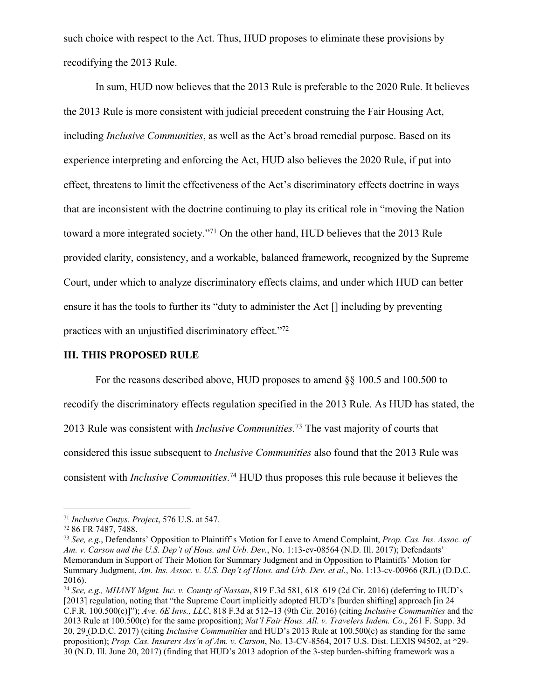such choice with respect to the Act. Thus, HUD proposes to eliminate these provisions by recodifying the 2013 Rule.

In sum, HUD now believes that the 2013 Rule is preferable to the 2020 Rule. It believes the 2013 Rule is more consistent with judicial precedent construing the Fair Housing Act, including *Inclusive Communities*, as well as the Act's broad remedial purpose. Based on its experience interpreting and enforcing the Act, HUD also believes the 2020 Rule, if put into effect, threatens to limit the effectiveness of the Act's discriminatory effects doctrine in ways that are inconsistent with the doctrine continuing to play its critical role in "moving the Nation toward a more integrated society."<sup>71</sup> On the other hand, HUD believes that the 2013 Rule provided clarity, consistency, and a workable, balanced framework, recognized by the Supreme Court, under which to analyze discriminatory effects claims, and under which HUD can better ensure it has the tools to further its "duty to administer the Act [] including by preventing practices with an unjustified discriminatory effect."<sup>72</sup>

### **III. THIS PROPOSED RULE**

For the reasons described above, HUD proposes to amend §§ 100.5 and 100.500 to recodify the discriminatory effects regulation specified in the 2013 Rule. As HUD has stated, the 2013 Rule was consistent with *Inclusive Communities.*<sup>73</sup> The vast majority of courts that considered this issue subsequent to *Inclusive Communities* also found that the 2013 Rule was consistent with *Inclusive Communities*. <sup>74</sup> HUD thus proposes this rule because it believes the

<sup>71</sup> *Inclusive Cmtys. Project*, 576 U.S. at 547.

<sup>72</sup> 86 FR 7487, 7488.

<sup>73</sup> *See, e.g.*, Defendants' Opposition to Plaintiff's Motion for Leave to Amend Complaint, *Prop. Cas. Ins. Assoc. of Am. v. Carson and the U.S. Dep't of Hous. and Urb. Dev.*, No. 1:13-cv-08564 (N.D. Ill. 2017); Defendants' Memorandum in Support of Their Motion for Summary Judgment and in Opposition to Plaintiffs' Motion for Summary Judgment, *Am. Ins. Assoc. v. U.S. Dep't of Hous. and Urb. Dev. et al.*, No. 1:13-cv-00966 (RJL) (D.D.C. 2016).

<sup>74</sup> *See, e.g., MHANY Mgmt. Inc. v. County of Nassau*, 819 F.3d 581, 618–619 (2d Cir. 2016) (deferring to HUD's [2013] regulation, noting that "the Supreme Court implicitly adopted HUD's [burden shifting] approach [in 24 C.F.R. 100.500(c)]"); *Ave. 6E Invs., LLC*, 818 F.3d at 512–13 (9th Cir. 2016) (citing *Inclusive Communities* and the 2013 Rule at 100.500(c) for the same proposition); *Nat'l Fair Hous. All. v. Travelers Indem. Co*., 261 F. Supp. 3d 20, 29 (D.D.C. 2017) (citing *Inclusive Communities* and HUD's 2013 Rule at 100.500(c) as standing for the same proposition); *Prop. Cas. Insurers Ass'n of Am. v. Carson*, No. 13-CV-8564, 2017 U.S. Dist. LEXIS 94502, at \*29- 30 (N.D. Ill. June 20, 2017) (finding that HUD's 2013 adoption of the 3-step burden-shifting framework was a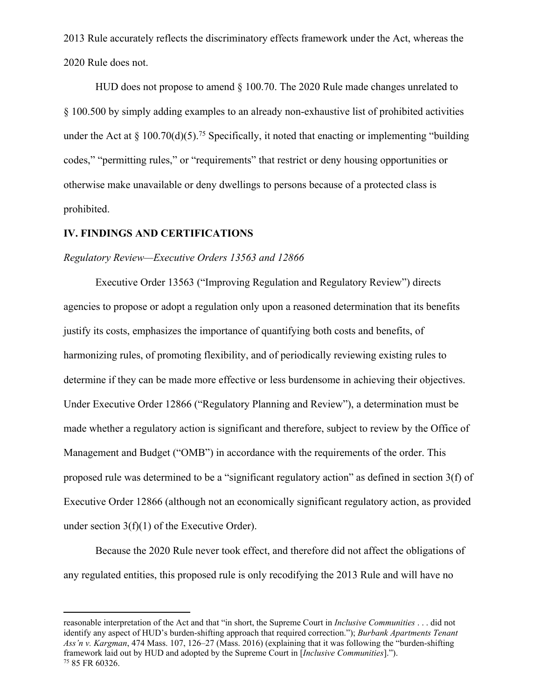2013 Rule accurately reflects the discriminatory effects framework under the Act, whereas the 2020 Rule does not.

HUD does not propose to amend § 100.70. The 2020 Rule made changes unrelated to § 100.500 by simply adding examples to an already non-exhaustive list of prohibited activities under the Act at  $\S 100.70(d)(5)$ .<sup>75</sup> Specifically, it noted that enacting or implementing "building" codes," "permitting rules," or "requirements" that restrict or deny housing opportunities or otherwise make unavailable or deny dwellings to persons because of a protected class is prohibited.

### **IV. FINDINGS AND CERTIFICATIONS**

### *Regulatory Review—Executive Orders 13563 and 12866*

Executive Order 13563 ("Improving Regulation and Regulatory Review") directs agencies to propose or adopt a regulation only upon a reasoned determination that its benefits justify its costs, emphasizes the importance of quantifying both costs and benefits, of harmonizing rules, of promoting flexibility, and of periodically reviewing existing rules to determine if they can be made more effective or less burdensome in achieving their objectives. Under Executive Order 12866 ("Regulatory Planning and Review"), a determination must be made whether a regulatory action is significant and therefore, subject to review by the Office of Management and Budget ("OMB") in accordance with the requirements of the order. This proposed rule was determined to be a "significant regulatory action" as defined in section 3(f) of Executive Order 12866 (although not an economically significant regulatory action, as provided under section 3(f)(1) of the Executive Order).

Because the 2020 Rule never took effect, and therefore did not affect the obligations of any regulated entities, this proposed rule is only recodifying the 2013 Rule and will have no

reasonable interpretation of the Act and that "in short, the Supreme Court in *Inclusive Communities* . . . did not identify any aspect of HUD's burden-shifting approach that required correction."); *Burbank Apartments Tenant Ass'n v. Kargman*, 474 Mass. 107, 126–27 (Mass. 2016) (explaining that it was following the "burden-shifting framework laid out by HUD and adopted by the Supreme Court in [*Inclusive Communities*]."). 75 85 FR 60326.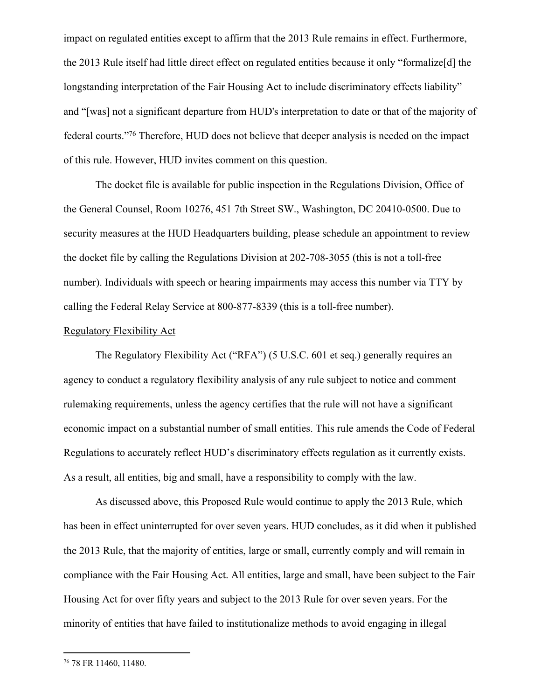impact on regulated entities except to affirm that the 2013 Rule remains in effect. Furthermore, the 2013 Rule itself had little direct effect on regulated entities because it only "formalize[d] the longstanding interpretation of the Fair Housing Act to include discriminatory effects liability" and "[was] not a significant departure from HUD's interpretation to date or that of the majority of federal courts."<sup>76</sup> Therefore, HUD does not believe that deeper analysis is needed on the impact of this rule. However, HUD invites comment on this question.

The docket file is available for public inspection in the Regulations Division, Office of the General Counsel, Room 10276, 451 7th Street SW., Washington, DC 20410-0500. Due to security measures at the HUD Headquarters building, please schedule an appointment to review the docket file by calling the Regulations Division at 202-708-3055 (this is not a toll-free number). Individuals with speech or hearing impairments may access this number via TTY by calling the Federal Relay Service at 800-877-8339 (this is a toll-free number).

### Regulatory Flexibility Act

The Regulatory Flexibility Act ("RFA") (5 U.S.C. 601 et seq.) generally requires an agency to conduct a regulatory flexibility analysis of any rule subject to notice and comment rulemaking requirements, unless the agency certifies that the rule will not have a significant economic impact on a substantial number of small entities. This rule amends the Code of Federal Regulations to accurately reflect HUD's discriminatory effects regulation as it currently exists. As a result, all entities, big and small, have a responsibility to comply with the law.

As discussed above, this Proposed Rule would continue to apply the 2013 Rule, which has been in effect uninterrupted for over seven years. HUD concludes, as it did when it published the 2013 Rule, that the majority of entities, large or small, currently comply and will remain in compliance with the Fair Housing Act. All entities, large and small, have been subject to the Fair Housing Act for over fifty years and subject to the 2013 Rule for over seven years. For the minority of entities that have failed to institutionalize methods to avoid engaging in illegal

<sup>76</sup> 78 FR 11460, 11480.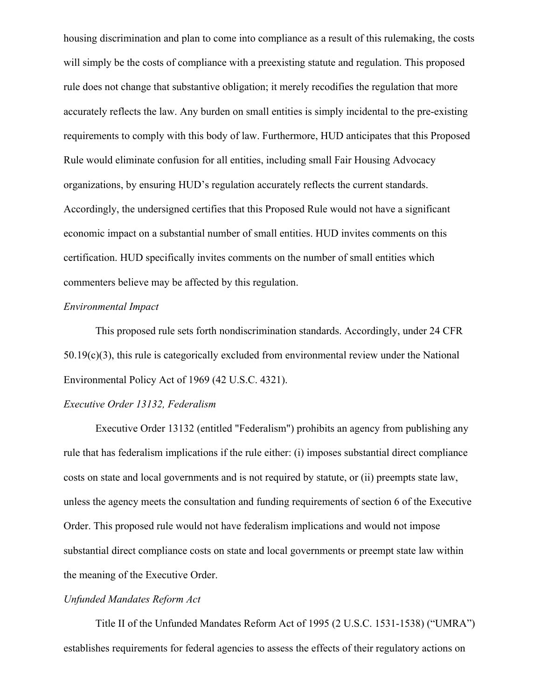housing discrimination and plan to come into compliance as a result of this rulemaking, the costs will simply be the costs of compliance with a preexisting statute and regulation. This proposed rule does not change that substantive obligation; it merely recodifies the regulation that more accurately reflects the law. Any burden on small entities is simply incidental to the pre-existing requirements to comply with this body of law. Furthermore, HUD anticipates that this Proposed Rule would eliminate confusion for all entities, including small Fair Housing Advocacy organizations, by ensuring HUD's regulation accurately reflects the current standards. Accordingly, the undersigned certifies that this Proposed Rule would not have a significant economic impact on a substantial number of small entities. HUD invites comments on this certification. HUD specifically invites comments on the number of small entities which commenters believe may be affected by this regulation.

## *Environmental Impact*

This proposed rule sets forth nondiscrimination standards. Accordingly, under 24 CFR  $50.19(c)(3)$ , this rule is categorically excluded from environmental review under the National Environmental Policy Act of 1969 (42 U.S.C. 4321).

# *Executive Order 13132, Federalism*

Executive Order 13132 (entitled "Federalism") prohibits an agency from publishing any rule that has federalism implications if the rule either: (i) imposes substantial direct compliance costs on state and local governments and is not required by statute, or (ii) preempts state law, unless the agency meets the consultation and funding requirements of section 6 of the Executive Order. This proposed rule would not have federalism implications and would not impose substantial direct compliance costs on state and local governments or preempt state law within the meaning of the Executive Order.

### *Unfunded Mandates Reform Act*

Title II of the Unfunded Mandates Reform Act of 1995 (2 U.S.C. 1531-1538) ("UMRA") establishes requirements for federal agencies to assess the effects of their regulatory actions on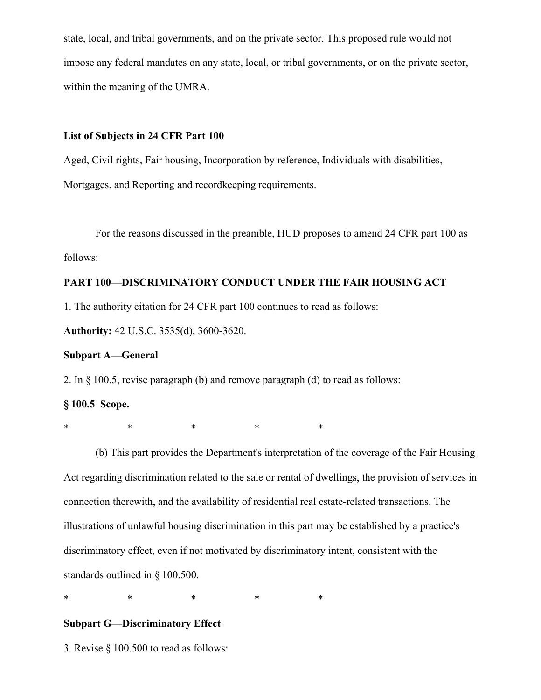state, local, and tribal governments, and on the private sector. This proposed rule would not impose any federal mandates on any state, local, or tribal governments, or on the private sector, within the meaning of the UMRA.

#### **List of Subjects in 24 CFR Part 100**

Aged, Civil rights, Fair housing, Incorporation by reference, Individuals with disabilities, Mortgages, and Reporting and recordkeeping requirements.

For the reasons discussed in the preamble, HUD proposes to amend 24 CFR part 100 as follows:

# **PART 100—DISCRIMINATORY CONDUCT UNDER THE FAIR HOUSING ACT**

1. The authority citation for 24 CFR part 100 continues to read as follows:

**Authority:** 42 U.S.C. 3535(d), 3600-3620.

### **Subpart A—General**

2. In § 100.5, revise paragraph (b) and remove paragraph (d) to read as follows:

# **§ 100.5 Scope.**

\* \* \* \* \* \* \*

(b) This part provides the Department's interpretation of the coverage of the Fair Housing Act regarding discrimination related to the sale or rental of dwellings, the provision of services in connection therewith, and the availability of residential real estate-related transactions. The illustrations of unlawful housing discrimination in this part may be established by a practice's discriminatory effect, even if not motivated by discriminatory intent, consistent with the standards outlined in § 100.500.

\* \* \* \* \* \* \*

# **Subpart G—Discriminatory Effect**

3. Revise § 100.500 to read as follows: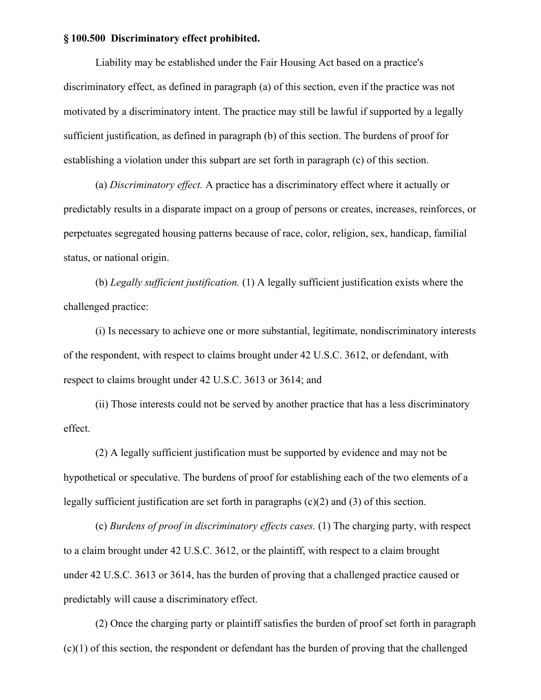#### **§ 100.500 Discriminatory effect prohibited.**

Liability may be established under the Fair Housing Act based on a practice's discriminatory effect, as defined in paragraph (a) of this section, even if the practice was not motivated by a discriminatory intent. The practice may still be lawful if supported by a legally sufficient justification, as defined in paragraph (b) of this section. The burdens of proof for establishing a violation under this subpart are set forth in paragraph (c) of this section.

(a) *Discriminatory effect.* A practice has a discriminatory effect where it actually or predictably results in a disparate impact on a group of persons or creates, increases, reinforces, or perpetuates segregated housing patterns because of race, color, religion, sex, handicap, familial status, or national origin.

(b) *Legally sufficient justification.* (1) A legally sufficient justification exists where the challenged practice:

(i) Is necessary to achieve one or more substantial, legitimate, nondiscriminatory interests of the respondent, with respect to claims brought under 42 U.S.C. 3612, or defendant, with respect to claims brought under 42 U.S.C. 3613 or 3614; and

(ii) Those interests could not be served by another practice that has a less discriminatory effect.

(2) A legally sufficient justification must be supported by evidence and may not be hypothetical or speculative. The burdens of proof for establishing each of the two elements of a legally sufficient justification are set forth in paragraphs  $(c)(2)$  and  $(3)$  of this section.

(c) *Burdens of proof in discriminatory effects cases.* (1) The charging party, with respect to a claim brought under 42 U.S.C. 3612, or the plaintiff, with respect to a claim brought under 42 U.S.C. 3613 or 3614, has the burden of proving that a challenged practice caused or predictably will cause a discriminatory effect.

(2) Once the charging party or plaintiff satisfies the burden of proof set forth in paragraph (c)(1) of this section, the respondent or defendant has the burden of proving that the challenged